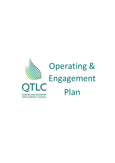

# Operating & Engagement Plan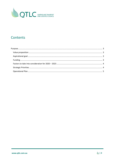

# **Contents**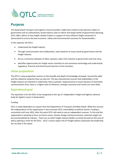

# <span id="page-2-0"></span>**Purpose**

The Queensland Transport and Logistics Council provides a high-level conduit to key decision makers in government and an authoritative, broad industry view to inform and shape whole-of-government planning. QTLC offers advice on key freight-related matters in support of more efficient freight movement in Queensland to ensure the best economic, safety and environmental outcomes for Queenslanders.

In this capacity, the QTLC:

- Understand the freight industry
- Through communication and collaboration, seek solutions to issues faced by government and the freight industry.
- Act as a connector between of ideas, opinions, data, from industry to government and vice versa.
- Identifies opportunities for freight sector transition to zero emissions technology and understands regulatory, financial and infrastructure barriers to the transition.

## <span id="page-2-1"></span>**Value proposition**

The QTLC's value proposition centres on the breadth and depth of knowledge of people 'around the table' and the collective networks they can tap into. This key characteristic ensures that stakeholders in the freight industry are listened to collectively; there is greater responsiveness to issues because of shortened communication lines; there is a higher level of influence; strategic outcomes and results are more likely.

### <span id="page-2-2"></span>**Aspirational goal**

The aspiration is for the QTLC to be recognised as the 'go to' independent, freight and logistics advisory body for logistics issues in Queensland.

#### <span id="page-2-3"></span>Funding

QTLC is solely dependent on a grant from the Department of Transport and Main Roads. While this ensures the independence of the organisation it also increases QTLC vulnerability to political shocks. Funding is committed until June 2023, after this point QTLC will need to secure independent revenue. To this end the organisation is pivoting to focus on future issues, climate change and how emissions reduction target can be accommodated by industry. There are no other freight industry bodies currently focused on this area of policy opening a niche for the QTLC. QTLC's recent report into EV freight options showcases the leadership we can play in this space.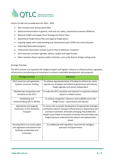

<span id="page-3-0"></span>Factors to take into consideration for 2020 – 2023

- Qld Transport User Groups (post OISC)
- National harmonisation in general, road and rail, safety, concessional schemes OSOM etc.
- National Freight and Supply Chain Strategy and Action Plans
- Queensland Freight Action Plan and regional freight plan/s
- Ongoing supply chain understanding and improvement post-COVID and natural disaster
- Inland Rail Queensland progress
- Productivity Commission reviews (such as that on Maritime Transport)
- Zero Emissions transport agendas, options, targets and opportunities
- Other member-driven inquiries and/or initiatives, such as the Bremer Bridge costing study

#### <span id="page-3-1"></span>Strategic Priorities

The QTLC mission is to represent the freight transport and logistics industry to influence policy, regulation, infrastructure and planning and investment to achieve sustainable development and prosperity.

| <b>Strategic priorities</b>        | Objectives                                                       |
|------------------------------------|------------------------------------------------------------------|
| QTLC resources and operations -    | To achieve appropriate levels of funding to achieve our vision,  |
| systems, structure, funding        | execute our strategies and influence government and industry     |
|                                    | freight agendas and remain independent.                          |
| Membership composition and         | To make the QTLC attractive and relevant to respective industry  |
| attraction to the QTLC             | players in related sectors.                                      |
| Establishing and                   | To achieve recognition, influence and credibility across the     |
| communicating QTLC's identity      | freight sector - government and industry                         |
| Appropriate and ongoing            | To ensure the successful development of appropriate hydrogen     |
| investment in Zero Emissions       | and battery-electric transport infrastructure in Queensland and  |
| Transport                          | promote investment. Articulate emerging and problematic          |
|                                    | freight issues linked to the green economy and assist fleets and |
|                                    | freight precincts understand the options and opportunities       |
|                                    | ahead.                                                           |
| Ensuring there is an access policy | To collaborate with regulators, road and rail managers,          |
| and regulation environment that    | operators and government                                         |
| facilitates productivity and       |                                                                  |
| innovation                         |                                                                  |
|                                    |                                                                  |
|                                    |                                                                  |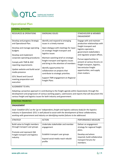

## <span id="page-4-0"></span>**Operational Plan**

| <b>GENERAL ACTIVITIES</b>                                                                                                               |                                                                                                                                                                                                                                |                                                                                                                                                                         |
|-----------------------------------------------------------------------------------------------------------------------------------------|--------------------------------------------------------------------------------------------------------------------------------------------------------------------------------------------------------------------------------|-------------------------------------------------------------------------------------------------------------------------------------------------------------------------|
| <b>RESOURCES &amp; OPERATIONS</b>                                                                                                       | <b>EMERGING ISSUES</b>                                                                                                                                                                                                         | STAKEHOLDER & MEMBER<br><b>ENGAGEMENT</b>                                                                                                                               |
| Develop and progress Strategic<br>and Operational Plan.<br>Develop and manage operating<br>budgets<br>Develop and implement             | Identify and respond to emerging<br>issues in a timely manner<br>Open dialogue with meetings for input<br>on strategic freight transport and<br>logistics issues                                                               | Engage with and maintain<br>productive relationships with<br>freight transport and<br>logistics operators,<br>government stakeholders<br>and regulator project offices. |
| corporate operating procedures<br>Comply with TMR & ASIC<br>reporting requirements<br>Update website and build social<br>media presence | Maintain watching brief on strategic<br>freight transport and logistics issues<br>and bring to the attention of members<br>Identify opportunities for<br>collaboration on projects that<br>contribute to strategic priorities. | Pursue opportunities to<br>present at various forums on<br>freight transport, logistics,<br>low emission freight<br>opportunities, and supply<br>chain matters.         |
| <b>QTLC Board and Council</b><br>meeting preparation and<br>execution                                                                   | Support TMR engagement on Regional<br><b>Freight Plans</b>                                                                                                                                                                     |                                                                                                                                                                         |

#### ALIGNMENT TO KPIs

Adopting a proactive approach in contributing to the freight agenda within Queensland, through the development and progression of various working papers, submissions and reports that will document the various freight and logistics issues for both industry and government.

#### STRATEGIC PRIORITIES

#### **ENGAGEMENT**

*Goal: Establish QTLC as the 'go to' independent, freight and logistics advisory body for the logistics industry in Queensland. QTLC is well placed to assist with the development of these collaborations, working with government and industry on identifying market failures to be addressed.*

| <b>STRATEGY</b>                                                                                                                             | <b>ACTION</b>                                                                                                                     | PERFORMANCE MEASURE                                                                                                                                        |
|---------------------------------------------------------------------------------------------------------------------------------------------|-----------------------------------------------------------------------------------------------------------------------------------|------------------------------------------------------------------------------------------------------------------------------------------------------------|
| Build value to freight members<br>through transport user groups<br>Promote and represent Qld<br>Freight transport and logistics<br>industry | Undertake stakeholder and member<br>engagement<br>Establish transport user groups<br>Expand social media reach rebuild<br>profile | Deliver an engagement<br>strategy for regional freight<br>plans.<br>Develop and where<br>required, build collaborative<br>transport forums for<br>members. |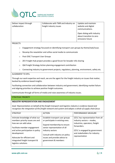

| Deliver impact through<br>collaboration | Collaborate with TMR and industry on<br>freight industry issues | Update and maintain<br>website and digital<br>communications.<br>Open dialog with industry<br>about transition to zero<br>emissions future |
|-----------------------------------------|-----------------------------------------------------------------|--------------------------------------------------------------------------------------------------------------------------------------------|
| <b>PROJECTS</b>                         |                                                                 |                                                                                                                                            |

- o Engagement strategy focussed on identifying transport user groups by theme/task/issue.
- o Revamp the newsletter and utilise social media to communicate
- o Post OISC Transport User Groups
- o ZEV Freight Hub project provides a good forum for broader info sharing
- o Qld Freight Strategy Action planning engagement contribution
- o Connecting industry to government projects, regulatory, planning, environment, safety etc.

#### ALIGNMENT TO KPIs

Through our work expertise and reach, we are the agent for the freight industry on issues that matter, backed by evidence-based insights.

Facilitating connection and collaboration between industry and government, identifying market failure and aligning priorities to achieve positive freight outcomes.

Communicate through all forms of media and raise awareness of industry issues.

#### STRATEGIC PRIORITY

#### **INDUSTRY REPRESENTATION AND ENGAGEMENT**

*Goal: Representation on behalf of the freight transport and logistics industry is evidence based and recognises the integration of the freight network and system and adopts a whole of supply chain focus*

| <b>STRATEGY</b>                                                                                                                                                          | <b>ACTION</b>                                                                                                                               | PERFORMANCE MEASURE                                                                                            |
|--------------------------------------------------------------------------------------------------------------------------------------------------------------------------|---------------------------------------------------------------------------------------------------------------------------------------------|----------------------------------------------------------------------------------------------------------------|
| Intimate knowledge of what our<br>members priority issues are and<br>how we can add value.                                                                               | Establish transport user groups<br>or participate in existing ones.<br>Expand membership to ensure                                          | QTLC has representation from all<br>industry sectors - modes,<br>industries, operators, freight<br>forwarders. |
| Facilitate member engagement<br>and active participation in policy<br>development<br>Advocate for efficient and<br>integrated freight transport &<br>logistics solutions | senior representation of all<br>industry sectors<br>Consult with industry on policy<br>issues and provide advice to<br>government & members | QTLC is engaged by government<br>and stakeholders for industry<br>representation                               |
|                                                                                                                                                                          |                                                                                                                                             |                                                                                                                |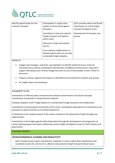

| Identify opportunities for low<br>emission transport, | Participation in supply-chain<br>studies to future-proof against<br>disrupters.                        | QTLC provides advice and formal<br>submissions on critical freight<br>transport & logistics issues |
|-------------------------------------------------------|--------------------------------------------------------------------------------------------------------|----------------------------------------------------------------------------------------------------|
|                                                       | Contribute to state and national<br>freight transport and logistics<br>policy issues                   | Development of transport user<br>groups.                                                           |
|                                                       | Advocate at state and national<br>forums                                                               |                                                                                                    |
|                                                       | Form industry collaborations to<br>identify opportunities to up-scale<br>sustainable freight adoption. |                                                                                                    |

#### PROJECTS

- Engage road managers, industries, and regulators to identify preferred access routes for restricted access vehicles including the identification of additional infrastructure required to support extending access. Bremer Bridge has arisen as one of these bodies of work. Others in discussion.
- Progress common agenda and projects as identified and articulated by transport user groups.
- EV Freight report and workshops.

#### ALIGNMENT TO KPIs

Contribution to effective policy communication between Governments and industry through maintenance and growth of comprehensive networks

Facilitate adoption of ZEV freight options for membership through education and collaboration.

Contribution to enhancing the productivity of the sector, including the development of mechanisms and processes to address barriers to increased productivity

Contribution to the implementation of the actions outlined in the Queensland Freight Strategy and regional plans.

Contribution to the freight agenda within Queensland through the development and progression of various working papers and reports addressing various freight and logistics issues for both industry and government.

#### STRATEGIC PRIORITY

#### **INTERGOVERNMENTAL PLANNING AND PRODUCTIVITY**

*Goal: Transport asset owners and planners cooperate to reduce supply chain impediments and coordinate to plan for, and invest in, efficient and productive freight transport infrastructure.*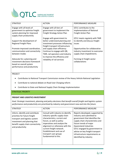

| <b>STRATEGY</b>                                                                                                                                                                                               | <b>ACTION</b>                                                                                                                                                                                       | PERFORMANCE MEASURE                                                                                                                                        |
|---------------------------------------------------------------------------------------------------------------------------------------------------------------------------------------------------------------|-----------------------------------------------------------------------------------------------------------------------------------------------------------------------------------------------------|------------------------------------------------------------------------------------------------------------------------------------------------------------|
| Engage with all levels of<br>government to optimise freight<br>system planning for improved<br>supply chain productivity<br>Support the development of<br><b>Regional Freight Plans</b>                       | Engage with all tiers of<br>government to implement the<br>Freight Strategy Action Plan<br>Engage with government to<br>better understand planning and<br>investment processes influencing          | QTLC contributes to the<br>implementation of National<br>Freight Action Plan<br>QTLC meets regularly with TMR<br>to identify and discuss freight<br>issues |
| Promote improved coordination,<br>communication and connectivity<br>between modes<br>Advocate for a planning and<br>investment decisions framework<br>based on overall system<br>performance and productivity | freight transport infrastructure<br>and supply chain efficiency<br>Continue to engage with QR,<br>TMR, rail operators and industry<br>to improve the efficiency and<br>reliability of rail services | Opportunities for collaborative<br>industry investment to overcome<br>supply chain impediments.<br>Forming LE freight sector<br>collaborations             |

#### PROJECT

- Contributes to National Transport Commission review of the Heavy Vehicle National Legislation
- Contribute to national debate on Road User Charging reform
- Contribute to State and National Supply Chain Strategy Implementation

#### STRATEGIC PRIORITY

#### **FREIGHT AND LOGISTICS INVESTMENT**

*Goal: Strategic investment, planning and policy decisions that benefit overall freight and logistics system performance and productivity are prioritised by industry and government now and into the future.*

| <b>STRATEGY</b>                                                                                                                                                                             | <b>ACTION</b>                                                                                                                                                                                                                                                                                               | PERFORMANCE MEASURE                                                                                                                                                                                                                                                                                                   |
|---------------------------------------------------------------------------------------------------------------------------------------------------------------------------------------------|-------------------------------------------------------------------------------------------------------------------------------------------------------------------------------------------------------------------------------------------------------------------------------------------------------------|-----------------------------------------------------------------------------------------------------------------------------------------------------------------------------------------------------------------------------------------------------------------------------------------------------------------------|
| Inform, identify and contribute<br>priorities for future freight<br>transport and logistics system<br>investment and planning that<br>benefit supply chain connectivity<br>and productivity | Consult with industry to identify<br>industry specific supply chain<br>characteristics, current and<br>future, as well as policy<br>imperatives and analyse the<br>alignment or otherwise with the<br>current freight network.<br>Establishment and use of<br>transport user groups<br>fundamental to this. | Reports developed, supported by<br>industry and submitted to<br>government that identifies the<br>supply chain characteristics and<br>future trends of major<br>Queensland industries<br>QTLC engaged by government to<br>advise on key freight transport<br>infrastructure requirements as<br>identified by industry |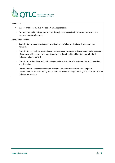

#### PROJECTS

- ZEV Freight Phase #2 Hub Project + ARENA aggregation
- Explore potential funding opportunities through other agencies for transport infrastructure business case development.

#### ALIGNMENT TO KPIs

- Contribution to expanding industry and Government's knowledge base through targeted research
- Contribution to the freight agenda within Queensland through the development and progression of various working papers and reports address various freight and logistics issues for both industry and government
- Contribute to identifying and addressing impediments to the efficient operation of Queensland's supply chains
- Contribution to the development and implementation of transport reform and policy development on issues including the provision of advice on freight and logistics priorities from an industry perspective